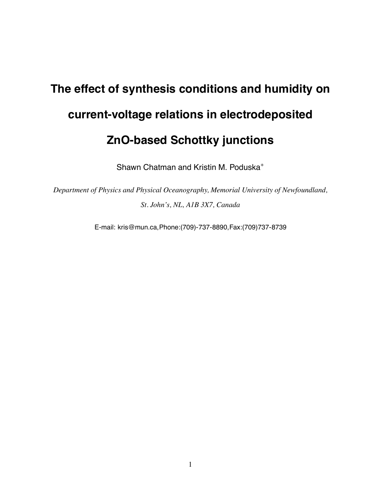## **The effect of synthesis conditions and humidity on current-voltage relations in electrodeposited ZnO-based Schottky junctions**

Shawn Chatman and Kristin M. Poduska<sup>∗</sup>

*Department of Physics and Physical Oceanography, Memorial University of Newfoundland, St. John's, NL, A1B 3X7, Canada*

E-mail: kris@mun.ca,Phone:(709)-737-8890,Fax:(709)737-8739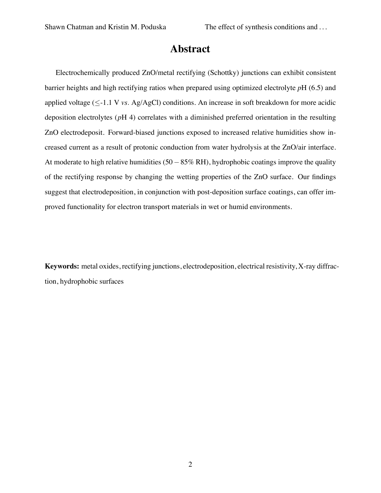#### **Abstract**

Electrochemically produced ZnO/metal rectifying (Schottky) junctions can exhibit consistent barrier heights and high rectifying ratios when prepared using optimized electrolyte *p*H (6.5) and applied voltage (≤-1.1 V *vs*. Ag/AgCl) conditions. An increase in soft breakdown for more acidic deposition electrolytes (*p*H 4) correlates with a diminished preferred orientation in the resulting ZnO electrodeposit. Forward-biased junctions exposed to increased relative humidities show increased current as a result of protonic conduction from water hydrolysis at the ZnO/air interface. At moderate to high relative humidities (50−85% RH), hydrophobic coatings improve the quality of the rectifying response by changing the wetting properties of the ZnO surface. Our findings suggest that electrodeposition, in conjunction with post-deposition surface coatings, can offer improved functionality for electron transport materials in wet or humid environments.

**Keywords:** metal oxides, rectifying junctions, electrodeposition, electrical resistivity, X-ray diffraction, hydrophobic surfaces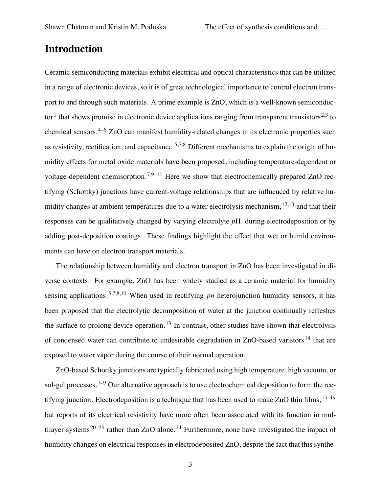#### **Introduction**

Ceramic semiconducting materials exhibit electrical and optical characteristics that can be utilized in a range of electronic devices, so it is of great technological importance to control electron transport to and through such materials. A prime example is ZnO, which is a well-known semiconductor<sup>1</sup> that shows promise in electronic device applications ranging from transparent transistors<sup>2,3</sup> to chemical sensors.4–6 ZnO can manifest humidity-related changes in its electronic properties such as resistivity, rectification, and capacitance.<sup>5,7,8</sup> Different mechanisms to explain the origin of humidity effects for metal oxide materials have been proposed, including temperature-dependent or voltage-dependent chemisorption.<sup>7,9–11</sup> Here we show that electrochemically prepared ZnO rectifying (Schottky) junctions have current-voltage relationships that are influenced by relative humidity changes at ambient temperatures due to a water electrolysis mechanism,  $12,13$  and that their responses can be qualitatively changed by varying electrolyte *p*H during electrodeposition or by adding post-deposition coatings. These findings highlight the effect that wet or humid environments can have on electron transport materials.

The relationship between humidity and electron transport in ZnO has been investigated in diverse contexts. For example, ZnO has been widely studied as a ceramic material for humidity sensing applications.5,7,8,10 When used in rectifying *pn* heterojunction humidity sensors, it has been proposed that the electrolytic decomposition of water at the junction continually refreshes the surface to prolong device operation.<sup>13</sup> In contrast, other studies have shown that electrolysis of condensed water can contribute to undesirable degradation in  $ZnO$ -based varistors<sup>14</sup> that are exposed to water vapor during the course of their normal operation.

ZnO-based Schottky junctions are typically fabricated using high temperature, high vacuum, or sol-gel processes.<sup>7–9</sup> Our alternative approach is to use electrochemical deposition to form the rectifying junction. Electrodeposition is a technique that has been used to make  $ZnO$  thin films,  $15-19$ but reports of its electrical resistivity have more often been associated with its function in multilayer systems<sup>20–23</sup> rather than ZnO alone.<sup>24</sup> Furthermore, none have investigated the impact of humidity changes on electrical responses in electrodeposited ZnO, despite the fact that this synthe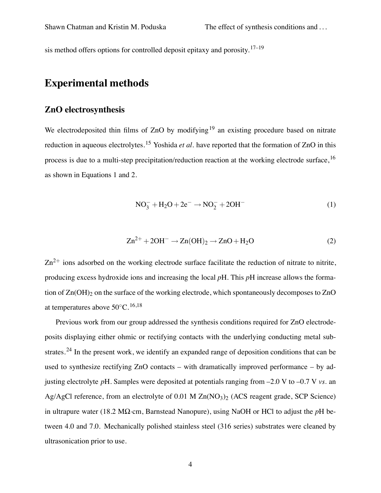sis method offers options for controlled deposit epitaxy and porosity.<sup>17–19</sup>

#### **Experimental methods**

#### **ZnO electrosynthesis**

We electrodeposited thin films of  $ZnO$  by modifying<sup>19</sup> an existing procedure based on nitrate reduction in aqueous electrolytes.<sup>15</sup> Yoshida *et al.* have reported that the formation of ZnO in this process is due to a multi-step precipitation/reduction reaction at the working electrode surface,<sup>16</sup> as shown in Equations 1 and 2.

$$
NO_3^- + H_2O + 2e^- \rightarrow NO_2^- + 2OH^-
$$
 (1)

$$
Zn^{2+} + 2OH^- \rightarrow Zn(OH)_2 \rightarrow ZnO + H_2O
$$
 (2)

 $Zn^{2+}$  ions adsorbed on the working electrode surface facilitate the reduction of nitrate to nitrite, producing excess hydroxide ions and increasing the local *p*H. This *p*H increase allows the formation of  $Zn(OH)$ <sub>2</sub> on the surface of the working electrode, which spontaneously decomposes to  $ZnO$ at temperatures above  $50^{\circ}$ C.<sup>16,18</sup>

Previous work from our group addressed the synthesis conditions required for ZnO electrodeposits displaying either ohmic or rectifying contacts with the underlying conducting metal substrates.<sup>24</sup> In the present work, we identify an expanded range of deposition conditions that can be used to synthesize rectifying ZnO contacts – with dramatically improved performance – by adjusting electrolyte *p*H. Samples were deposited at potentials ranging from –2.0 V to –0.7 V *vs*. an Ag/AgCl reference, from an electrolyte of  $0.01$  M Zn(NO<sub>3</sub>)<sub>2</sub> (ACS reagent grade, SCP Science) in ultrapure water (18.2 MΩ·cm, Barnstead Nanopure), using NaOH or HCl to adjust the *p*H between 4.0 and 7.0. Mechanically polished stainless steel (316 series) substrates were cleaned by ultrasonication prior to use.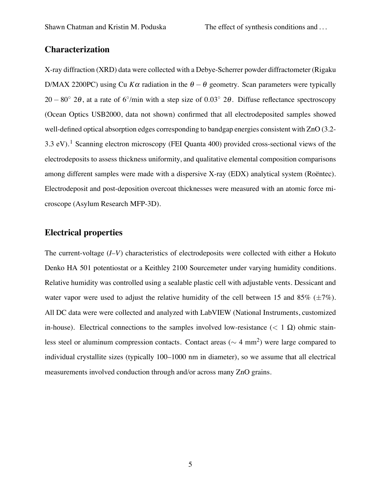#### **Characterization**

X-ray diffraction (XRD) data were collected with a Debye-Scherrer powder diffractometer (Rigaku D/MAX 2200PC) using Cu  $K\alpha$  radiation in the  $\theta - \theta$  geometry. Scan parameters were typically  $20 - 80°$  2θ, at a rate of 6°/min with a step size of 0.03° 2θ. Diffuse reflectance spectroscopy (Ocean Optics USB2000, data not shown) confirmed that all electrodeposited samples showed well-defined optical absorption edges corresponding to bandgap energies consistent with ZnO (3.2- 3.3 eV).<sup>1</sup> Scanning electron microscopy (FEI Quanta 400) provided cross-sectional views of the electrodeposits to assess thickness uniformity, and qualitative elemental composition comparisons among different samples were made with a dispersive X-ray (EDX) analytical system (Roëntec). Electrodeposit and post-deposition overcoat thicknesses were measured with an atomic force microscope (Asylum Research MFP-3D).

#### **Electrical properties**

The current-voltage (*I–V*) characteristics of electrodeposits were collected with either a Hokuto Denko HA 501 potentiostat or a Keithley 2100 Sourcemeter under varying humidity conditions. Relative humidity was controlled using a sealable plastic cell with adjustable vents. Dessicant and water vapor were used to adjust the relative humidity of the cell between 15 and 85% ( $\pm$ 7%). All DC data were were collected and analyzed with LabVIEW (National Instruments, customized in-house). Electrical connections to the samples involved low-resistance ( $< 1 \Omega$ ) ohmic stainless steel or aluminum compression contacts. Contact areas ( $\sim$  4 mm<sup>2</sup>) were large compared to individual crystallite sizes (typically 100–1000 nm in diameter), so we assume that all electrical measurements involved conduction through and/or across many ZnO grains.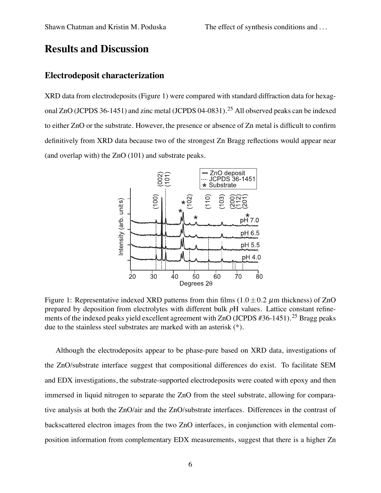#### **Results and Discussion**

#### **Electrodeposit characterization**

XRD data from electrodeposits (Figure 1) were compared with standard diffraction data for hexagonal ZnO (JCPDS 36-1451) and zinc metal (JCPDS 04-0831).<sup>25</sup> All observed peaks can be indexed to either ZnO or the substrate. However, the presence or absence of Zn metal is difficult to confirm definitively from XRD data because two of the strongest Zn Bragg reflections would appear near (and overlap with) the ZnO (101) and substrate peaks.



Figure 1: Representative indexed XRD patterns from thin films  $(1.0 \pm 0.2 \mu m)$  thickness) of ZnO prepared by deposition from electrolytes with different bulk *p*H values. Lattice constant refinements of the indexed peaks yield excellent agreement with  $ZnO$  (JCPDS #36-1451).<sup>25</sup> Bragg peaks due to the stainless steel substrates are marked with an asterisk (\*).

Although the electrodeposits appear to be phase-pure based on XRD data, investigations of the ZnO/substrate interface suggest that compositional differences do exist. To facilitate SEM and EDX investigations, the substrate-supported electrodeposits were coated with epoxy and then immersed in liquid nitrogen to separate the ZnO from the steel substrate, allowing for comparative analysis at both the ZnO/air and the ZnO/substrate interfaces. Differences in the contrast of backscattered electron images from the two ZnO interfaces, in conjunction with elemental composition information from complementary EDX measurements, suggest that there is a higher Zn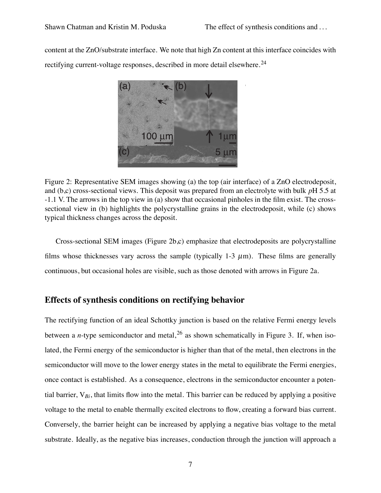content at the ZnO/substrate interface. We note that high Zn content at this interface coincides with rectifying current-voltage responses, described in more detail elsewhere.<sup>24</sup>



Figure 2: Representative SEM images showing (a) the top (air interface) of a ZnO electrodeposit, and (b,c) cross-sectional views. This deposit was prepared from an electrolyte with bulk *p*H 5.5 at -1.1 V. The arrows in the top view in (a) show that occasional pinholes in the film exist. The crosssectional view in (b) highlights the polycrystalline grains in the electrodeposit, while (c) shows typical thickness changes across the deposit.

Cross-sectional SEM images (Figure 2b,c) emphasize that electrodeposits are polycrystalline films whose thicknesses vary across the sample (typically 1-3  $\mu$ m). These films are generally continuous, but occasional holes are visible, such as those denoted with arrows in Figure 2a.

#### **Effects of synthesis conditions on rectifying behavior**

The rectifying function of an ideal Schottky junction is based on the relative Fermi energy levels between a *n*-type semiconductor and metal,  $2<sup>6</sup>$  as shown schematically in Figure 3. If, when isolated, the Fermi energy of the semiconductor is higher than that of the metal, then electrons in the semiconductor will move to the lower energy states in the metal to equilibrate the Fermi energies, once contact is established. As a consequence, electrons in the semiconductor encounter a potential barrier, V*Bi*, that limits flow into the metal. This barrier can be reduced by applying a positive voltage to the metal to enable thermally excited electrons to flow, creating a forward bias current. Conversely, the barrier height can be increased by applying a negative bias voltage to the metal substrate. Ideally, as the negative bias increases, conduction through the junction will approach a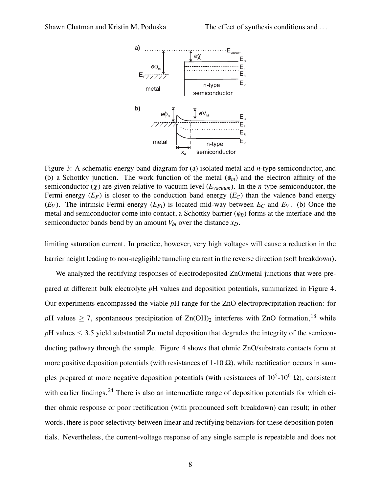

Figure 3: A schematic energy band diagram for (a) isolated metal and *n*-type semiconductor, and (b) a Schottky junction. The work function of the metal  $(\phi_m)$  and the electron affinity of the semiconductor  $(\chi)$  are given relative to vacuum level  $(E_{vacuum})$ . In the *n*-type semiconductor, the Fermi energy  $(E_F)$  is closer to the conduction band energy  $(E_C)$  than the valence band energy  $(E_V)$ . The intrinsic Fermi energy  $(E_{Fi})$  is located mid-way between  $E_C$  and  $E_V$ . (b) Once the metal and semiconductor come into contact, a Schottky barrier  $(\phi_B)$  forms at the interface and the semiconductor bands bend by an amount  $V_{bi}$  over the distance  $x_D$ .

limiting saturation current. In practice, however, very high voltages will cause a reduction in the barrier height leading to non-negligible tunneling current in the reverse direction (soft breakdown).

We analyzed the rectifying responses of electrodeposited ZnO/metal junctions that were prepared at different bulk electrolyte *p*H values and deposition potentials, summarized in Figure 4. Our experiments encompassed the viable *p*H range for the ZnO electroprecipitation reaction: for *pH* values  $\geq$  7, spontaneous precipitation of Zn(OH)<sub>2</sub> interferes with ZnO formation,<sup>18</sup> while  $pH$  values  $\leq$  3.5 yield substantial Zn metal deposition that degrades the integrity of the semiconducting pathway through the sample. Figure 4 shows that ohmic ZnO/substrate contacts form at more positive deposition potentials (with resistances of  $1-10 \Omega$ ), while rectification occurs in samples prepared at more negative deposition potentials (with resistances of  $10^5$ - $10^6$   $\Omega$ ), consistent with earlier findings.<sup>24</sup> There is also an intermediate range of deposition potentials for which either ohmic response or poor rectification (with pronounced soft breakdown) can result; in other words, there is poor selectivity between linear and rectifying behaviors for these deposition potentials. Nevertheless, the current-voltage response of any single sample is repeatable and does not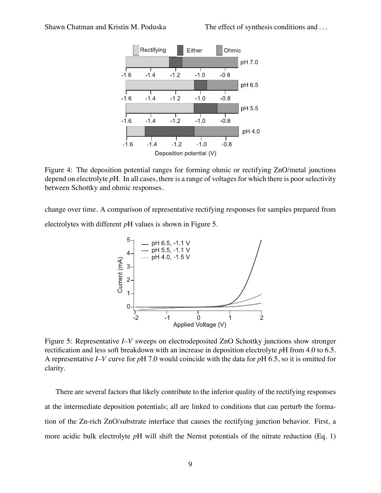

Figure 4: The deposition potential ranges for forming ohmic or rectifying ZnO/metal junctions depend on electrolyte *p*H. In all cases, there is a range of voltages for which there is poor selectivity between Schottky and ohmic responses.

change over time. A comparison of representative rectifying responses for samples prepared from electrolytes with different *p*H values is shown in Figure 5.



Figure 5: Representative *I–V* sweeps on electrodeposited ZnO Schottky junctions show stronger rectification and less soft breakdown with an increase in deposition electrolyte *p*H from 4.0 to 6.5. A representative *I–V* curve for *p*H 7.0 would coincide with the data for *p*H 6.5, so it is omitted for clarity.

There are several factors that likely contribute to the inferior quality of the rectifying responses at the intermediate deposition potentials; all are linked to conditions that can perturb the formation of the Zn-rich ZnO/substrate interface that causes the rectifying junction behavior. First, a more acidic bulk electrolyte *p*H will shift the Nernst potentials of the nitrate reduction (Eq. 1)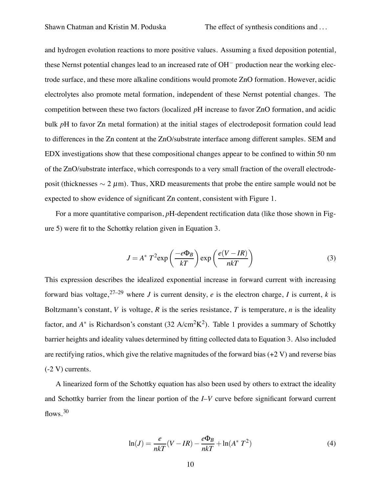and hydrogen evolution reactions to more positive values. Assuming a fixed deposition potential, these Nernst potential changes lead to an increased rate of OH<sup>−</sup> production near the working electrode surface, and these more alkaline conditions would promote ZnO formation. However, acidic electrolytes also promote metal formation, independent of these Nernst potential changes. The competition between these two factors (localized *p*H increase to favor ZnO formation, and acidic bulk *pH* to favor Zn metal formation) at the initial stages of electrodeposit formation could lead to differences in the Zn content at the ZnO/substrate interface among different samples. SEM and EDX investigations show that these compositional changes appear to be confined to within 50 nm of the ZnO/substrate interface, which corresponds to a very small fraction of the overall electrodeposit (thicknesses  $\sim 2 \mu m$ ). Thus, XRD measurements that probe the entire sample would not be expected to show evidence of significant Zn content, consistent with Figure 1.

For a more quantitative comparison, *p*H-dependent rectification data (like those shown in Figure 5) were fit to the Schottky relation given in Equation 3.

$$
J = A^* T^2 \exp\left(\frac{-e\Phi_B}{kT}\right) \exp\left(\frac{e(V - IR)}{nkT}\right)
$$
 (3)

This expression describes the idealized exponential increase in forward current with increasing forward bias voltage,  $27-29$  where *J* is current density, *e* is the electron charge, *I* is current, *k* is Boltzmann's constant, *V* is voltage, *R* is the series resistance, *T* is temperature, *n* is the ideality factor, and  $A^*$  is Richardson's constant (32 A/cm<sup>2</sup>K<sup>2</sup>). Table 1 provides a summary of Schottky barrier heights and ideality values determined by fitting collected data to Equation 3. Also included are rectifying ratios, which give the relative magnitudes of the forward bias  $(+2 V)$  and reverse bias (-2 V) currents.

A linearized form of the Schottky equation has also been used by others to extract the ideality and Schottky barrier from the linear portion of the *I–V* curve before significant forward current flows.  $30$ 

$$
\ln(J) = \frac{e}{nkT}(V - IR) - \frac{e\Phi_B}{nkT} + \ln(A^* T^2)
$$
 (4)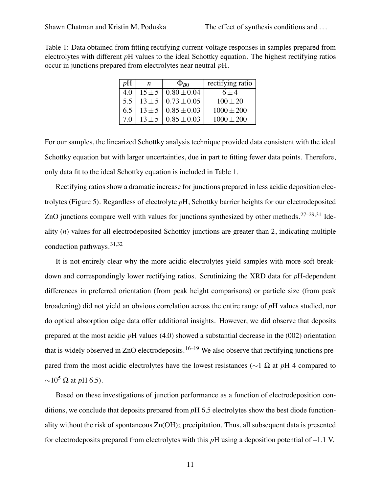Table 1: Data obtained from fitting rectifying current-voltage responses in samples prepared from electrolytes with different *p*H values to the ideal Schottky equation. The highest rectifying ratios occur in junctions prepared from electrolytes near neutral *p*H.

| pΗ  | n          | $\Phi_{B0}$                    | rectifying ratio |
|-----|------------|--------------------------------|------------------|
| 4.0 |            | $15 \pm 5 \cdot 0.80 \pm 0.04$ | $6 + 4$          |
| 5.5 |            | $13 \pm 5$   $0.73 \pm 0.05$   | $100 \pm 20$     |
| 6.5 | $13 \pm 5$ | $0.85 \pm 0.03$                | $1000 \pm 200$   |
| 70  | $13 \pm 5$ | $0.85 \pm 0.03$                | $1000 + 200$     |

For our samples, the linearized Schottky analysis technique provided data consistent with the ideal Schottky equation but with larger uncertainties, due in part to fitting fewer data points. Therefore, only data fit to the ideal Schottky equation is included in Table 1.

Rectifying ratios show a dramatic increase for junctions prepared in less acidic deposition electrolytes (Figure 5). Regardless of electrolyte *p*H, Schottky barrier heights for our electrodeposited ZnO junctions compare well with values for junctions synthesized by other methods.<sup>27–29,31</sup> Ideality (*n*) values for all electrodeposited Schottky junctions are greater than 2, indicating multiple conduction pathways.31,32

It is not entirely clear why the more acidic electrolytes yield samples with more soft breakdown and correspondingly lower rectifying ratios. Scrutinizing the XRD data for *p*H-dependent differences in preferred orientation (from peak height comparisons) or particle size (from peak broadening) did not yield an obvious correlation across the entire range of *p*H values studied, nor do optical absorption edge data offer additional insights. However, we did observe that deposits prepared at the most acidic *p*H values (4.0) showed a substantial decrease in the (002) orientation that is widely observed in ZnO electrodeposits.<sup>16–19</sup> We also observe that rectifying junctions prepared from the most acidic electrolytes have the lowest resistances (∼1 Ω at *p*H 4 compared to  $\sim$ 10<sup>5</sup> Ω at *p*H 6.5).

Based on these investigations of junction performance as a function of electrodeposition conditions, we conclude that deposits prepared from *p*H 6.5 electrolytes show the best diode functionality without the risk of spontaneous  $Zn(OH)$ <sub>2</sub> precipitation. Thus, all subsequent data is presented for electrodeposits prepared from electrolytes with this *p*H using a deposition potential of –1.1 V.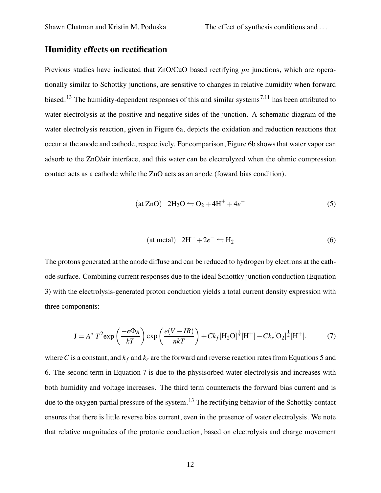#### **Humidity effects on rectification**

Previous studies have indicated that ZnO/CuO based rectifying *pn* junctions, which are operationally similar to Schottky junctions, are sensitive to changes in relative humidity when forward biased.<sup>13</sup> The humidity-dependent responses of this and similar systems<sup>7,11</sup> has been attributed to water electrolysis at the positive and negative sides of the junction. A schematic diagram of the water electrolysis reaction, given in Figure 6a, depicts the oxidation and reduction reactions that occur at the anode and cathode, respectively. For comparison, Figure 6b shows that water vapor can adsorb to the ZnO/air interface, and this water can be electrolyzed when the ohmic compression contact acts as a cathode while the ZnO acts as an anode (foward bias condition).

$$
(at ZnO) 2H2O \leftrightharpoons O2 + 4H+ + 4e-
$$
 (5)

$$
(at metal) 2H^{+} + 2e^{-} \leftrightharpoons H_{2}
$$
\n(6)

The protons generated at the anode diffuse and can be reduced to hydrogen by electrons at the cathode surface. Combining current responses due to the ideal Schottky junction conduction (Equation 3) with the electrolysis-generated proton conduction yields a total current density expression with three components:

$$
J = A^* T^2 \exp\left(\frac{-e\Phi_B}{kT}\right) \exp\left(\frac{e(V - IR)}{nkT}\right) + Ck_f[H_2O]^{\frac{1}{2}}[H^+] - Ck_r[O_2]^{\frac{1}{4}}[H^+].
$$
 (7)

where C is a constant, and  $k_f$  and  $k_r$  are the forward and reverse reaction rates from Equations 5 and 6. The second term in Equation 7 is due to the physisorbed water electrolysis and increases with both humidity and voltage increases. The third term counteracts the forward bias current and is due to the oxygen partial pressure of the system.<sup>13</sup> The rectifying behavior of the Schottky contact ensures that there is little reverse bias current, even in the presence of water electrolysis. We note that relative magnitudes of the protonic conduction, based on electrolysis and charge movement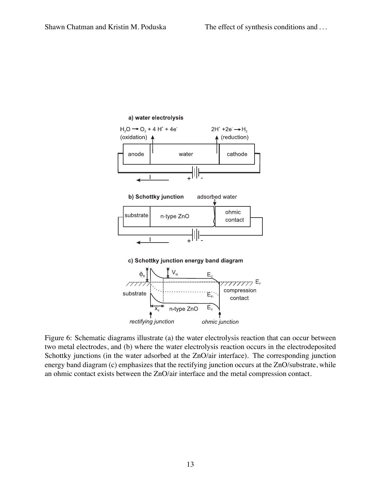

Figure 6: Schematic diagrams illustrate (a) the water electrolysis reaction that can occur between two metal electrodes, and (b) where the water electrolysis reaction occurs in the electrodeposited Schottky junctions (in the water adsorbed at the ZnO/air interface). The corresponding junction energy band diagram (c) emphasizes that the rectifying junction occurs at the ZnO/substrate, while an ohmic contact exists between the ZnO/air interface and the metal compression contact.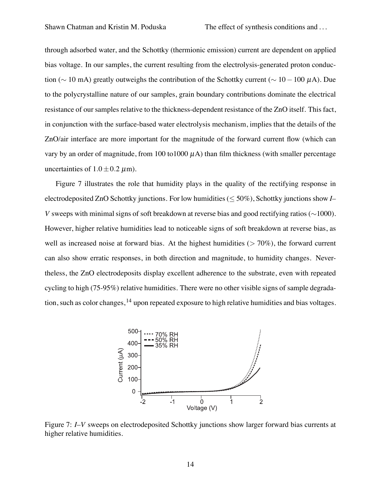through adsorbed water, and the Schottky (thermionic emission) current are dependent on applied bias voltage. In our samples, the current resulting from the electrolysis-generated proton conduction ( $\sim$  10 mA) greatly outweighs the contribution of the Schottky current ( $\sim$  10 – 100 µA). Due to the polycrystalline nature of our samples, grain boundary contributions dominate the electrical resistance of our samples relative to the thickness-dependent resistance of the ZnO itself. This fact, in conjunction with the surface-based water electrolysis mechanism, implies that the details of the ZnO/air interface are more important for the magnitude of the forward current flow (which can vary by an order of magnitude, from 100 to1000  $\mu$ A) than film thickness (with smaller percentage uncertainties of  $1.0 \pm 0.2 \mu$ m).

Figure 7 illustrates the role that humidity plays in the quality of the rectifying response in electrodeposited ZnO Schottky junctions. For low humidities (≤ 50%), Schottky junctions show *I– V* sweeps with minimal signs of soft breakdown at reverse bias and good rectifying ratios (∼1000). However, higher relative humidities lead to noticeable signs of soft breakdown at reverse bias, as well as increased noise at forward bias. At the highest humidities ( $> 70\%$ ), the forward current can also show erratic responses, in both direction and magnitude, to humidity changes. Nevertheless, the ZnO electrodeposits display excellent adherence to the substrate, even with repeated cycling to high (75-95%) relative humidities. There were no other visible signs of sample degradation, such as color changes, <sup>14</sup> upon repeated exposure to high relative humidities and bias voltages.



Figure 7: *I–V* sweeps on electrodeposited Schottky junctions show larger forward bias currents at higher relative humidities.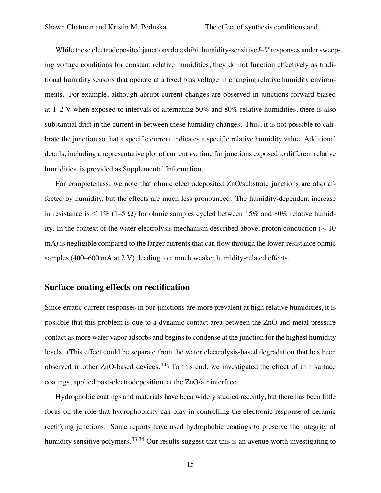While these electrodeposited junctions do exhibit humidity-sensitive *I–V* responses under sweeping voltage conditions for constant relative humidities, they do not function effectively as traditional humidity sensors that operate at a fixed bias voltage in changing relative humidity environments. For example, although abrupt current changes are observed in junctions forward biased at 1–2 V when exposed to intervals of alternating 50% and 80% relative humidities, there is also substantial drift in the current in between these humidity changes. Thus, it is not possible to calibrate the junction so that a specific current indicates a specific relative humidity value. Additional details, including a representative plot of current *vs*. time for junctions exposed to different relative humidities, is provided as Supplemental Information.

For completeness, we note that ohmic electrodeposited ZnO/substrate junctions are also affected by humidity, but the effects are much less pronounced. The humidity-dependent increase in resistance is  $\leq 1\%$  (1–5  $\Omega$ ) for ohmic samples cycled between 15% and 80% relative humidity. In the context of the water electrolysis mechanism described above, proton conduction ( $\sim 10$ ) mA) is negligible compared to the larger currents that can flow through the lower-resistance ohmic samples (400–600 mA at 2 V), leading to a much weaker humidity-related effects.

#### **Surface coating effects on rectification**

Since erratic current responses in our junctions are more prevalent at high relative humidities, it is possible that this problem is due to a dynamic contact area between the ZnO and metal pressure contact as more water vapor adsorbs and begins to condense at the junction for the highest humidity levels. (This effect could be separate from the water electrolysis-based degradation that has been observed in other ZnO-based devices.<sup>14</sup>) To this end, we investigated the effect of thin surface coatings, applied post-electrodeposition, at the ZnO/air interface.

Hydrophobic coatings and materials have been widely studied recently, but there has been little focus on the role that hydrophobicity can play in controlling the electronic response of ceramic rectifying junctions. Some reports have used hydrophobic coatings to preserve the integrity of humidity sensitive polymers.<sup>33,34</sup> Our results suggest that this is an avenue worth investigating to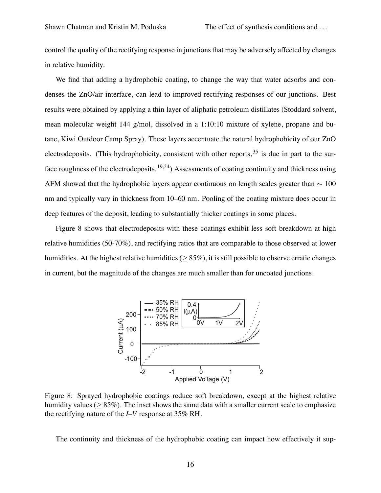control the quality of the rectifying response in junctionsthat may be adversely affected by changes in relative humidity.

We find that adding a hydrophobic coating, to change the way that water adsorbs and condenses the ZnO/air interface, can lead to improved rectifying responses of our junctions. Best results were obtained by applying a thin layer of aliphatic petroleum distillates (Stoddard solvent, mean molecular weight 144 g/mol, dissolved in a 1:10:10 mixture of xylene, propane and butane, Kiwi Outdoor Camp Spray). These layers accentuate the natural hydrophobicity of our ZnO electrodeposits. (This hydrophobicity, consistent with other reports,  $35$  is due in part to the surface roughness of the electrodeposits.<sup>19,24</sup>) Assessments of coating continuity and thickness using AFM showed that the hydrophobic layers appear continuous on length scales greater than  $\sim 100$ nm and typically vary in thickness from 10–60 nm. Pooling of the coating mixture does occur in deep features of the deposit, leading to substantially thicker coatings in some places.

Figure 8 shows that electrodeposits with these coatings exhibit less soft breakdown at high relative humidities (50-70%), and rectifying ratios that are comparable to those observed at lower humidities. At the highest relative humidities ( $> 85\%$ ), it is still possible to observe erratic changes in current, but the magnitude of the changes are much smaller than for uncoated junctions.



Figure 8: Sprayed hydrophobic coatings reduce soft breakdown, except at the highest relative humidity values ( $> 85\%$ ). The inset shows the same data with a smaller current scale to emphasize the rectifying nature of the *I–V* response at 35% RH.

The continuity and thickness of the hydrophobic coating can impact how effectively it sup-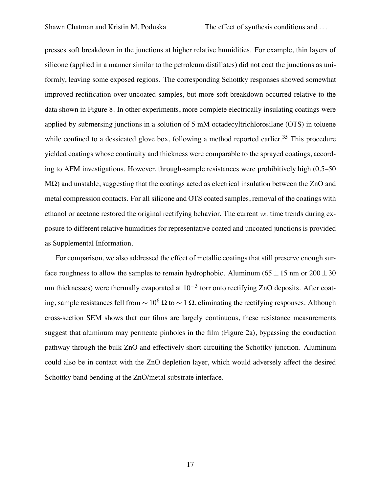Shawn Chatman and Kristin M. Poduska The effect of synthesis conditions and ...

presses soft breakdown in the junctions at higher relative humidities. For example, thin layers of silicone (applied in a manner similar to the petroleum distillates) did not coat the junctions as uniformly, leaving some exposed regions. The corresponding Schottky responses showed somewhat improved rectification over uncoated samples, but more soft breakdown occurred relative to the data shown in Figure 8. In other experiments, more complete electrically insulating coatings were applied by submersing junctions in a solution of 5 mM octadecyltrichlorosilane (OTS) in toluene while confined to a dessicated glove box, following a method reported earlier.<sup>35</sup> This procedure yielded coatings whose continuity and thickness were comparable to the sprayed coatings, according to AFM investigations. However, through-sample resistances were prohibitively high (0.5–50  $M\Omega$ ) and unstable, suggesting that the coatings acted as electrical insulation between the ZnO and metal compression contacts. For all silicone and OTS coated samples, removal of the coatings with ethanol or acetone restored the original rectifying behavior. The current *vs*. time trends during exposure to different relative humidities for representative coated and uncoated junctions is provided as Supplemental Information.

For comparison, we also addressed the effect of metallic coatings that still preserve enough surface roughness to allow the samples to remain hydrophobic. Aluminum ( $65 \pm 15$  nm or  $200 \pm 30$ ) nm thicknesses) were thermally evaporated at  $10^{-3}$  torr onto rectifying ZnO deposits. After coating, sample resistances fell from  $\sim 10^6 \Omega$  to  $\sim 1 \Omega$ , eliminating the rectifying responses. Although cross-section SEM shows that our films are largely continuous, these resistance measurements suggest that aluminum may permeate pinholes in the film (Figure 2a), bypassing the conduction pathway through the bulk ZnO and effectively short-circuiting the Schottky junction. Aluminum could also be in contact with the ZnO depletion layer, which would adversely affect the desired Schottky band bending at the ZnO/metal substrate interface.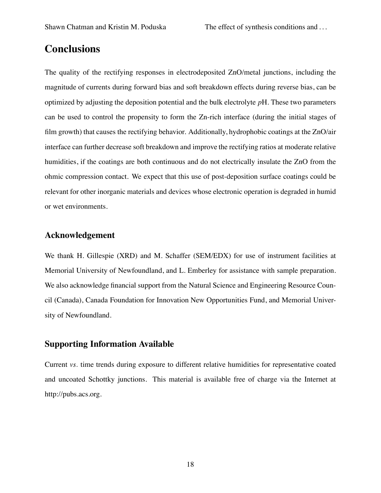#### **Conclusions**

The quality of the rectifying responses in electrodeposited ZnO/metal junctions, including the magnitude of currents during forward bias and soft breakdown effects during reverse bias, can be optimized by adjusting the deposition potential and the bulk electrolyte *p*H. These two parameters can be used to control the propensity to form the Zn-rich interface (during the initial stages of film growth) that causes the rectifying behavior. Additionally, hydrophobic coatings at the ZnO/air interface can further decrease soft breakdown and improve the rectifying ratios at moderate relative humidities, if the coatings are both continuous and do not electrically insulate the ZnO from the ohmic compression contact. We expect that this use of post-deposition surface coatings could be relevant for other inorganic materials and devices whose electronic operation is degraded in humid or wet environments.

#### **Acknowledgement**

We thank H. Gillespie (XRD) and M. Schaffer (SEM/EDX) for use of instrument facilities at Memorial University of Newfoundland, and L. Emberley for assistance with sample preparation. We also acknowledge financial support from the Natural Science and Engineering Resource Council (Canada), Canada Foundation for Innovation New Opportunities Fund, and Memorial University of Newfoundland.

#### **Supporting Information Available**

Current *vs*. time trends during exposure to different relative humidities for representative coated and uncoated Schottky junctions. This material is available free of charge via the Internet at http://pubs.acs.org.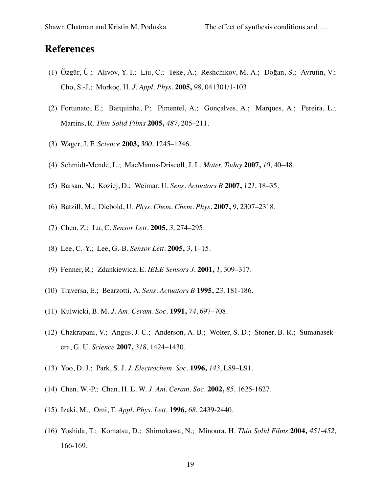#### **References**

- (1) Özgür, Ü.; Alivov, Y. I.; Liu, C.; Teke, A.; Reshchikov, M. A.; Dogan, S.; Avrutin, V.; ˘ Cho, S.-J.; Morkoç, H. *J. Appl. Phys.* **2005,** 98, 041301/1-103.
- (2) Fortunato, E.; Barquinha, P.; Pimentel, A.; Gonçalves, A.; Marques, A.; Pereira, L.; Martins, R. *Thin Solid Films* **2005,** 487, 205–211.
- (3) Wager, J. F. *Science* **2003,** 300, 1245–1246.
- (4) Schmidt-Mende, L.; MacManus-Driscoll, J. L. *Mater. Today* **2007,** 10, 40–48.
- (5) Barsan, N.; Koziej, D.; Weimar, U. *Sens. Actuators B* **2007,** 121, 18–35.
- (6) Batzill, M.; Diebold, U. *Phys. Chem. Chem. Phys.* **2007,** 9, 2307–2318.
- (7) Chen, Z.; Lu, C. *Sensor Lett.* **2005,** 3, 274–295.
- (8) Lee, C.-Y.; Lee, G.-B. *Sensor Lett.* **2005,** 3, 1–15.
- (9) Fenner, R.; Zdankiewicz, E. *IEEE Sensors J.* **2001,** 1, 309–317.
- (10) Traversa, E.; Bearzotti, A. *Sens. Actuators B* **1995,** 23, 181-186.
- (11) Kulwicki, B. M. *J. Am. Ceram. Soc.* **1991,** 74, 697–708.
- (12) Chakrapani, V.; Angus, J. C.; Anderson, A. B.; Wolter, S. D.; Stoner, B. R.; Sumanasekera, G. U. *Science* **2007,** 318, 1424–1430.
- (13) Yoo, D. J.; Park, S. J. *J. Electrochem. Soc.* **1996,** 143, L89–L91.
- (14) Chen, W.-P.; Chan, H. L. W. *J. Am. Ceram. Soc.* **2002,** 85, 1625-1627.
- (15) Izaki, M.; Omi, T. *Appl. Phys. Lett.* **1996,** 68, 2439-2440.
- (16) Yoshida, T.; Komatsu, D.; Shimokawa, N.; Minoura, H. *Thin Solid Films* **2004,** 451-452, 166-169.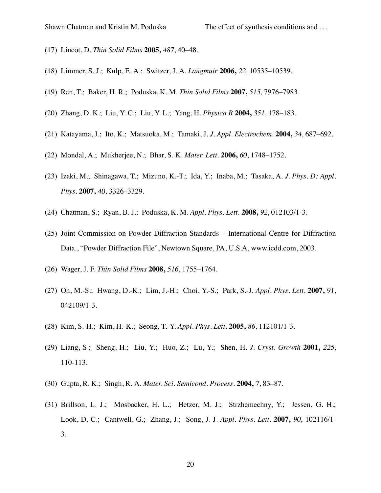- (17) Lincot, D. *Thin Solid Films* **2005,** 487, 40–48.
- (18) Limmer, S. J.; Kulp, E. A.; Switzer, J. A. *Langmuir* **2006,** 22, 10535–10539.
- (19) Ren, T.; Baker, H. R.; Poduska, K. M. *Thin Solid Films* **2007,** 515, 7976–7983.
- (20) Zhang, D. K.; Liu, Y. C.; Liu, Y. L.; Yang, H. *Physica B* **2004,** 351, 178–183.
- (21) Katayama, J.; Ito, K.; Matsuoka, M.; Tamaki, J. *J. Appl. Electrochem.* **2004,** 34, 687–692.
- (22) Mondal, A.; Mukherjee, N.; Bhar, S. K. *Mater. Lett.* **2006,** 60, 1748–1752.
- (23) Izaki, M.; Shinagawa, T.; Mizuno, K.-T.; Ida, Y.; Inaba, M.; Tasaka, A. *J. Phys. D: Appl. Phys.* **2007,** 40, 3326–3329.
- (24) Chatman, S.; Ryan, B. J.; Poduska, K. M. *Appl. Phys. Lett.* **2008,** 92, 012103/1-3.
- (25) Joint Commission on Powder Diffraction Standards International Centre for Diffraction Data., "Powder Diffraction File", Newtown Square, PA, U.S.A, www.icdd.com, 2003.
- (26) Wager, J. F. *Thin Solid Films* **2008,** 516, 1755–1764.
- (27) Oh, M.-S.; Hwang, D.-K.; Lim, J.-H.; Choi, Y.-S.; Park, S.-J. *Appl. Phys. Lett.* **2007,** 91, 042109/1-3.
- (28) Kim, S.-H.; Kim, H.-K.; Seong, T.-Y. *Appl. Phys. Lett.* **2005,** 86, 112101/1-3.
- (29) Liang, S.; Sheng, H.; Liu, Y.; Huo, Z.; Lu, Y.; Shen, H. *J. Cryst. Growth* **2001,** 225, 110-113.
- (30) Gupta, R. K.; Singh, R. A. *Mater. Sci. Semicond. Process.* **2004,** 7, 83–87.
- (31) Brillson, L. J.; Mosbacker, H. L.; Hetzer, M. J.; Strzhemechny, Y.; Jessen, G. H.; Look, D. C.; Cantwell, G.; Zhang, J.; Song, J. J. *Appl. Phys. Lett.* **2007,** 90, 102116/1- 3.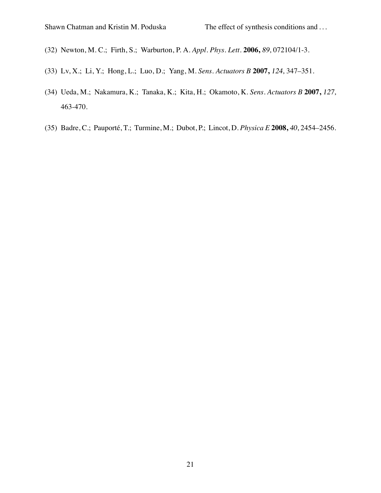- (32) Newton, M. C.; Firth, S.; Warburton, P. A. *Appl. Phys. Lett.* **2006,** 89, 072104/1-3.
- (33) Lv, X.; Li, Y.; Hong, L.; Luo, D.; Yang, M. *Sens. Actuators B* **2007,** 124, 347–351.
- (34) Ueda, M.; Nakamura, K.; Tanaka, K.; Kita, H.; Okamoto, K. *Sens. Actuators B* **2007,** 127, 463-470.
- (35) Badre, C.; Pauporte, T.; Turmine, M.; Dubot, P.; Lincot, D. ´ *Physica E* **2008,** 40, 2454–2456.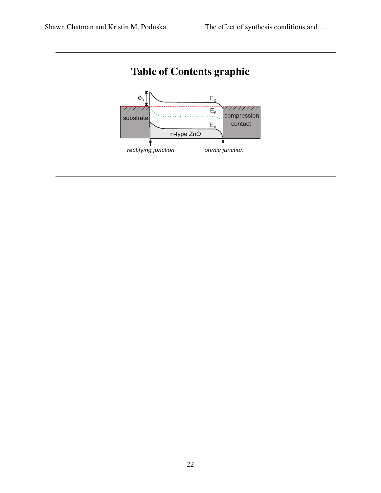

### **Table of Contents graphic**